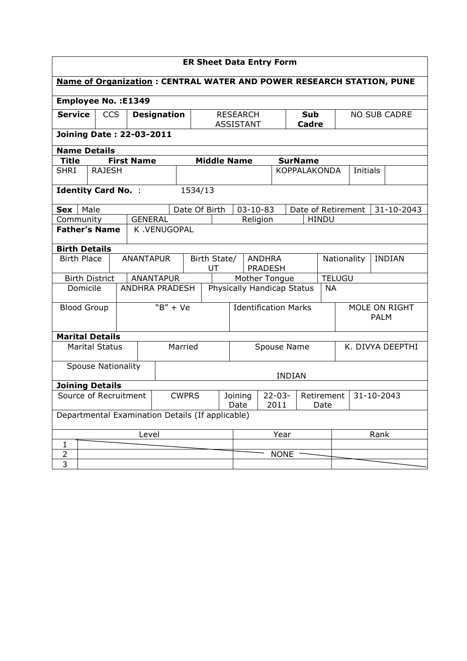| <b>ER Sheet Data Entry Form</b>                                             |                                        |                            |                                 |                                                  |                 |                                     |                                 |                |                    |                              |               |                     |               |            |
|-----------------------------------------------------------------------------|----------------------------------------|----------------------------|---------------------------------|--------------------------------------------------|-----------------|-------------------------------------|---------------------------------|----------------|--------------------|------------------------------|---------------|---------------------|---------------|------------|
| <b>Name of Organization: CENTRAL WATER AND POWER RESEARCH STATION, PUNE</b> |                                        |                            |                                 |                                                  |                 |                                     |                                 |                |                    |                              |               |                     |               |            |
| <b>Employee No.: E1349</b>                                                  |                                        |                            |                                 |                                                  |                 |                                     |                                 |                |                    |                              |               |                     |               |            |
| <b>Service</b>                                                              |                                        | <b>CCS</b>                 |                                 | <b>Designation</b>                               |                 | <b>RESEARCH</b><br><b>ASSISTANT</b> |                                 |                |                    | Sub<br>Cadre                 |               | <b>NO SUB CADRE</b> |               |            |
|                                                                             |                                        |                            | <b>Joining Date: 22-03-2011</b> |                                                  |                 |                                     |                                 |                |                    |                              |               |                     |               |            |
|                                                                             | <b>Name Details</b>                    |                            |                                 |                                                  |                 |                                     |                                 |                |                    |                              |               |                     |               |            |
| Title                                                                       |                                        |                            | <b>First Name</b>               |                                                  |                 |                                     | <b>Middle Name</b>              |                |                    | <b>SurName</b>               |               |                     |               |            |
| <b>SHRI</b>                                                                 |                                        | <b>RAJESH</b>              |                                 |                                                  |                 |                                     |                                 |                |                    | KOPPALAKONDA                 |               | <b>Initials</b>     |               |            |
|                                                                             |                                        | <b>Identity Card No. :</b> |                                 |                                                  | 1534/13         |                                     |                                 |                |                    |                              |               |                     |               |            |
| <b>Sex</b>                                                                  | Male                                   |                            |                                 |                                                  | Date Of Birth   |                                     |                                 | $03 - 10 - 83$ |                    | Date of Retirement           |               |                     |               | 31-10-2043 |
| Community                                                                   |                                        |                            | <b>GENERAL</b>                  |                                                  |                 |                                     |                                 | Religion       |                    |                              | <b>HINDU</b>  |                     |               |            |
|                                                                             |                                        | <b>Father's Name</b>       |                                 | K.VENUGOPAL                                      |                 |                                     |                                 |                |                    |                              |               |                     |               |            |
| <b>Birth Details</b>                                                        |                                        |                            |                                 |                                                  |                 |                                     |                                 |                |                    |                              |               |                     |               |            |
|                                                                             | <b>Birth Place</b><br><b>ANANTAPUR</b> |                            |                                 |                                                  |                 | Birth State/<br>UT                  | <b>ANDHRA</b><br><b>PRADESH</b> |                |                    | Nationality                  |               |                     | <b>INDIAN</b> |            |
|                                                                             |                                        | <b>Birth District</b>      |                                 | <b>ANANTAPUR</b>                                 |                 |                                     | Mother Tongue                   |                |                    |                              | <b>TELUGU</b> |                     |               |            |
|                                                                             | Domicile                               |                            |                                 | <b>ANDHRA PRADESH</b>                            |                 |                                     | Physically Handicap Status      |                |                    |                              | <b>NA</b>     |                     |               |            |
| <b>Blood Group</b>                                                          |                                        | $``B'' + Ve$               |                                 | <b>Identification Marks</b>                      |                 |                                     |                                 |                |                    | MOLE ON RIGHT<br><b>PALM</b> |               |                     |               |            |
|                                                                             |                                        | <b>Marital Details</b>     |                                 |                                                  |                 |                                     |                                 |                |                    |                              |               |                     |               |            |
|                                                                             |                                        | <b>Marital Status</b>      |                                 | Married                                          |                 | Spouse Name                         |                                 |                |                    |                              |               | K. DIVYA DEEPTHI    |               |            |
|                                                                             |                                        | <b>Spouse Nationality</b>  |                                 |                                                  |                 |                                     |                                 |                | <b>INDIAN</b>      |                              |               |                     |               |            |
|                                                                             |                                        | <b>Joining Details</b>     |                                 |                                                  |                 |                                     |                                 |                |                    |                              |               |                     |               |            |
| Source of Recruitment                                                       |                                        |                            | <b>CWPRS</b>                    |                                                  | Joining<br>Date | $22 - 03 -$<br>2011                 |                                 |                | Retirement<br>Date |                              | 31-10-2043    |                     |               |            |
|                                                                             |                                        |                            |                                 | Departmental Examination Details (If applicable) |                 |                                     |                                 |                |                    |                              |               |                     |               |            |
| Level                                                                       |                                        |                            |                                 |                                                  |                 |                                     |                                 |                | Year               |                              |               | Rank                |               |            |
| $\mathbf{1}$                                                                |                                        |                            |                                 |                                                  |                 |                                     |                                 |                |                    |                              |               |                     |               |            |
| $\overline{2}$                                                              |                                        |                            |                                 |                                                  |                 |                                     |                                 |                | <b>NONE</b>        |                              |               |                     |               |            |
| $\overline{\mathbf{3}}$                                                     |                                        |                            |                                 |                                                  |                 |                                     |                                 |                |                    |                              |               |                     |               |            |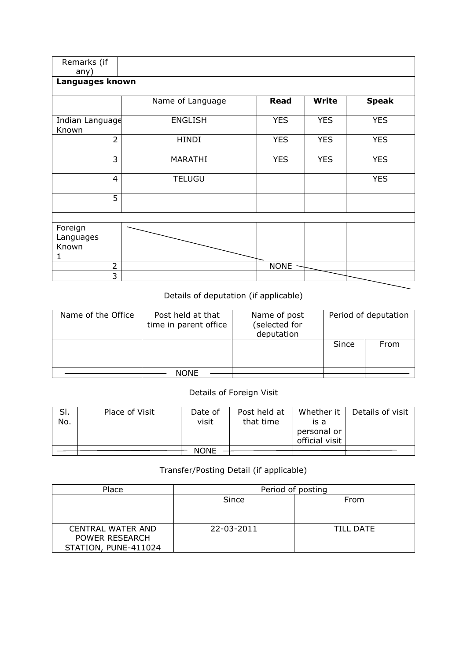| Remarks (if<br>any)           |                  |             |              |              |  |  |  |  |  |  |  |
|-------------------------------|------------------|-------------|--------------|--------------|--|--|--|--|--|--|--|
| Languages known               |                  |             |              |              |  |  |  |  |  |  |  |
|                               | Name of Language | <b>Read</b> | <b>Write</b> | <b>Speak</b> |  |  |  |  |  |  |  |
| Indian Language<br>Known      | <b>ENGLISH</b>   | <b>YES</b>  | <b>YES</b>   | <b>YES</b>   |  |  |  |  |  |  |  |
| $\overline{2}$                | <b>HINDI</b>     | <b>YES</b>  | <b>YES</b>   | <b>YES</b>   |  |  |  |  |  |  |  |
| 3                             | <b>MARATHI</b>   | <b>YES</b>  | <b>YES</b>   | <b>YES</b>   |  |  |  |  |  |  |  |
| $\overline{4}$                | <b>TELUGU</b>    |             |              | <b>YES</b>   |  |  |  |  |  |  |  |
| 5                             |                  |             |              |              |  |  |  |  |  |  |  |
|                               |                  |             |              |              |  |  |  |  |  |  |  |
| Foreign<br>Languages<br>Known |                  |             |              |              |  |  |  |  |  |  |  |
| 2<br>3                        |                  | <b>NONE</b> |              |              |  |  |  |  |  |  |  |

## Details of deputation (if applicable)

| Name of the Office | Post held at that<br>time in parent office | Name of post<br>(selected for<br>deputation |       | Period of deputation |
|--------------------|--------------------------------------------|---------------------------------------------|-------|----------------------|
|                    |                                            |                                             | Since | From                 |
|                    | <b>NONE</b>                                |                                             |       |                      |

## Details of Foreign Visit

| SI.<br>No. | Place of Visit | Date of<br>visit | Post held at<br>that time | Whether it<br>is a<br>personal or<br>official visit | Details of visit |
|------------|----------------|------------------|---------------------------|-----------------------------------------------------|------------------|
|            |                | <b>NONE</b>      |                           |                                                     |                  |

## Transfer/Posting Detail (if applicable)

| Place                    | Period of posting |           |  |  |  |  |
|--------------------------|-------------------|-----------|--|--|--|--|
|                          | Since             | From      |  |  |  |  |
|                          |                   |           |  |  |  |  |
|                          |                   |           |  |  |  |  |
| <b>CENTRAL WATER AND</b> | 22-03-2011        | TILL DATE |  |  |  |  |
| POWER RESEARCH           |                   |           |  |  |  |  |
| STATION, PUNE-411024     |                   |           |  |  |  |  |